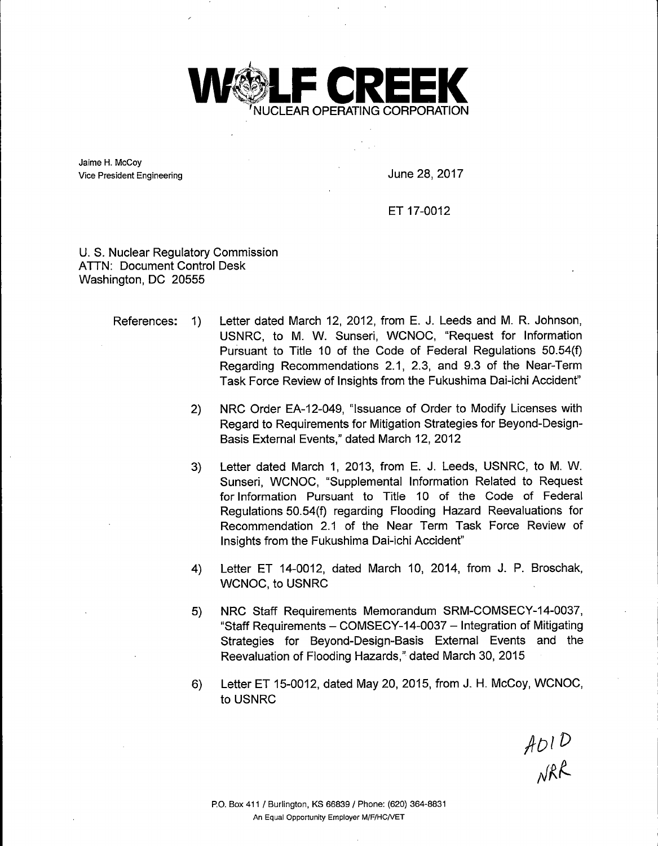

Jaime H. McCoy Vice President Engineering **June 28, 2017** 

ET 17-0012

U. S. Nuclear Regulatory Commission ATTN: Document Control Desk Washington, DC 20555

- References: 1) Letter dated March 12, 2012, from E. J. Leeds and M. R. Johnson, USNRC, to M. W. Sunseri, WCNOC, "Request for Information Pursuant to Title 10 of the Code of Federal Regulations 50.54(f) Regarding Recommendations 2.1, 2.3, and 9.3 of the Near-Term Task Force Review of Insights from the Fukushima Dai-ichi Accident"
	- 2) NRC Order EA-12-049, "Issuance of Order to Modify Licenses with Regard to Requirements for Mitigation Strategies for Beyond-Design-Basis External Events," dated March 12, 2012
	- 3) Letter dated March 1, 2013, from E. J. Leeds, USNRC, to M. W. Sunseri, WCNOC, "Supplemental Information Related to Request for Information Pursuant to Title 10 of the Code of Federal Regulations 50.54(f) regarding Flooding Hazard Reevaluations for Recommendation 2.1 of the Near Term Task Force Review of Insights from the Fukushima Dai-ichi Accident"
	- 4) Letter ET 14-0012, dated March 10, 2014, from J. P. Broschak, WCNOC, to USNRC
	- 5) NRC Staff Requirements Memorandum SRM-COMSECY-14-0037, "Staff Requirements - COMSECY-14-0037 - Integration of Mitigating Strategies for Beyond-Design-Basis External Events and the Reevaluation of Flooding Hazards," dated March 30, 2015
	- 6) Letter ET 15-0012, dated May 20, 2015, from J. H. McCoy, WCNOC, to USNRC

 $A$  $D1$  $D$ <br> $N$ RR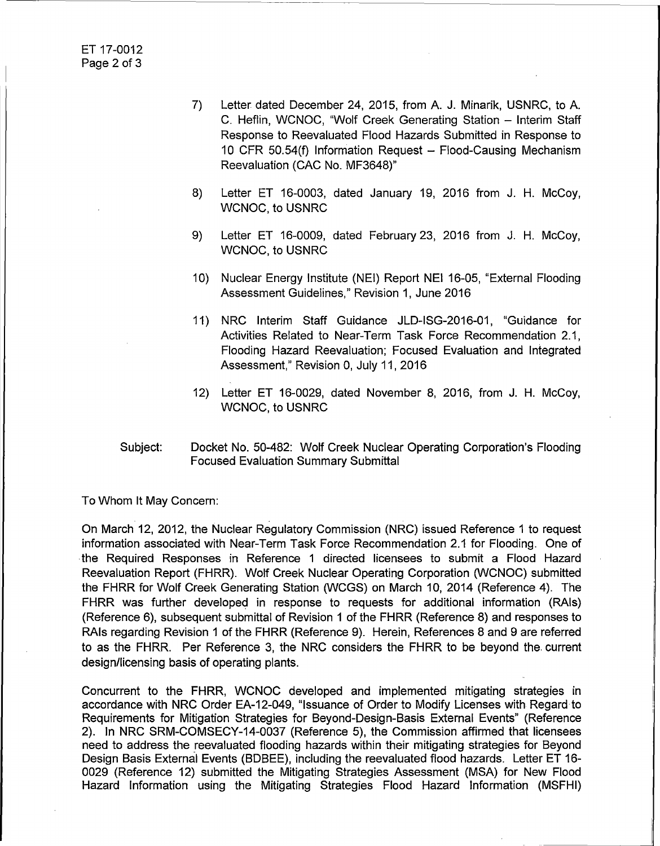- 7) Letter dated December 24, 2015, from A. J. Minarik, USNRC, to A. C. Heflin, WCNOC, "Wolf Creek Generating Station - Interim Staff Response to Reevaluated Flood Hazards Submitted in Response to 10 CFR 50.54(f) Information Request - Flood-Causing Mechanism Reevaluation (CAC No. MF3648)"
- 8) Letter ET 16-0003, dated January 19, 2016 from J. H. McCoy, WCNOC, to USNRC
- 9) Letter ET 16-0009, dated February 23, 2016 from J. H. McCoy, WCNOC, to USNRC
- 10) Nuclear Energy Institute (NEI) Report NEI 16-05, "External Flooding Assessment Guidelines," Revision 1, June 2016
- 11) NRC Interim Staff Guidance JLD-ISG-2016-01, "Guidance for Activities Related to Near-Term Task Force Recommendation 2.1, Flooding Hazard Reevaluation; Focused Evaluation and Integrated Assessment," Revision 0, July 11, 2016
- 12) Letter ET 16-0029, dated November 8, 2016, from J. H. McCoy, WCNOC, to USNRC
- Subject: Docket No. 50-482: Wolf Creek Nuclear Operating Corporation's Flooding Focused Evaluation Summary Submittal

To Whom It May Concern:

On March 12, 2012, the Nuclear Regulatory Commission (NRC) issued Reference 1 to request information associated with Near-Term Task Force Recommendation 2.1 for Flooding. One of the Required Responses in Reference 1 directed licensees to submit a Flood Hazard Reevaluation Report (FHRR). Wolf Creek Nuclear Operating Corporation (WCNOC) submitted the FHRR for Wolf Creek Generating Station (WCGS) on March 10, 2014 (Reference 4). The FHRR was further developed in response to requests for additional information (RAls) (Reference 6), subsequent submittal of Revision 1 of the FHRR (Reference 8) and responses to RAls regarding Revision 1 of the FHRR (Reference 9). Herein, References 8 and 9 are referred to as the FHRR. Per Reference 3, the NRC considers the FHRR to be beyond the current design/licensing basis of operating plants.

Concurrent to the FHRR, WCNOC developed and implemented mitigating strategies in accordance with NRC Order EA-12-049, "Issuance of Order to Modify Licenses with Regard to Requirements for Mitigation Strategies for Beyond-Design-Basis External Events" (Reference 2). In NRC SRM-COMSECY-14-0037 (Reference 5), the Commission affirmed that licensees need to address the reevaluated flooding hazards within their mitigating strategies for Beyond Design Basis External Events (BDBEE), including the reevaluated flood hazards. Letter ET 16- 0029 (Reference 12) submitted the Mitigating Strategies Assessment (MSA) for New Flood Hazard Information using the Mitigating Strategies Flood Hazard Information (MSFHI)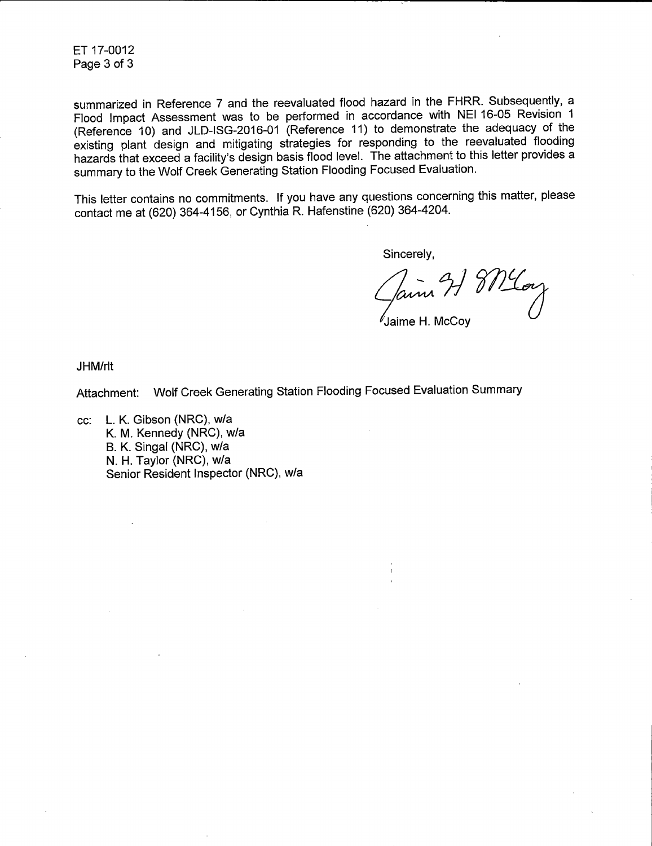ET 17-0012 Page 3 of 3

summarized in Reference 7 and the reevaluated flood hazard in the FHRR. Subsequently, a Flood Impact Assessment was to be performed in accordance with NEI 16-05 Revision 1 (Reference 10) and JLD-ISG-2016-01 (Reference 11) to demonstrate the adequacy of the existing plant design and mitigating strategies for responding to the reevaluated flooding hazards that exceed a facility's design basis flood level. The attachment to this letter provides a summary to the Wolf Creek Generating Station Flooding Focused Evaluation.

This letter contains no commitments. If you have any questions concerning this matter, please contact me at (620) 364-4156, or Cynthia R. Hafenstine (620) 364-4204.

Sincerely,

Jaime 21 8 Mlay

Jaime H. McCoy

JHM/rlt

Attachment: Wolf Creek Generating Station Flooding Focused Evaluation Summary

cc: L. K. Gibson (NRC), w/a K. M. Kennedy (NRC), w/a B. K. Singal (NRG), w/a N. H. Taylor (NRC), w/a Senior Resident Inspector (NRC), w/a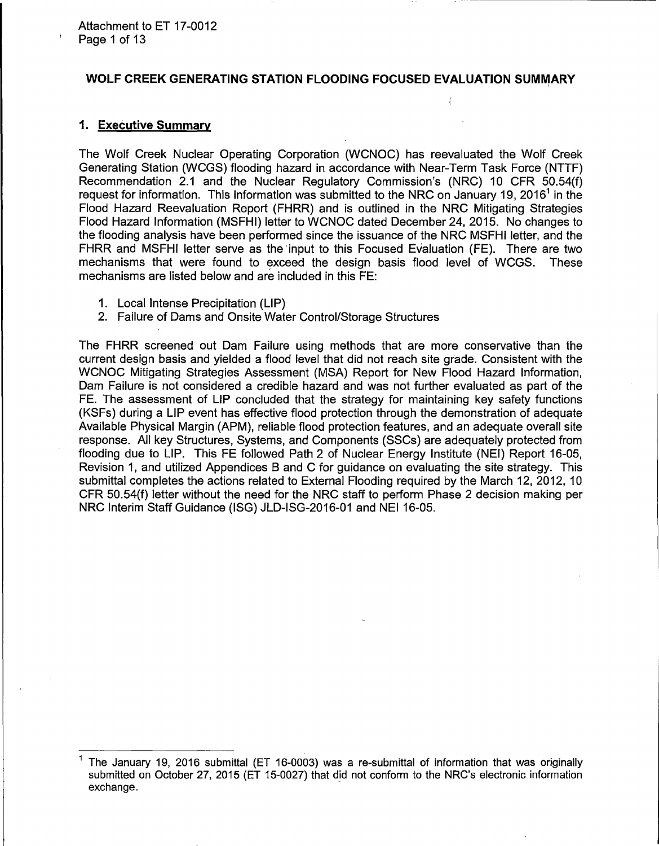### WOLF CREEK GENERATING STATION FLOODING FOCUSED EVALUATION SUMMARY

 $\left\langle \right\rangle$ 

### **1. Executive Summary**

The Wolf Creek Nuclear Operating Corporation (WCNOC) has reevaluated the Wolf Creek Generating Station (WCGS) flooding hazard in accordance with Near-Term Task Force (NTTF) Recommendation 2.1 and the Nuclear Regulatory Commission's (NRC) 10 CFR 50.54(f) request for information. This information was submitted to the NRC on January 19, 2016<sup>1</sup> in the Flood Hazard Reevaluation Report (FHRR) and is outlined in the NRC Mitigating Strategies Flood Hazard Information (MSFHI) letter to WCNOC dated December 24, 2015. No changes to the flooding analysis have been performed since the issuance of the NRC MSFHI letter, and the FHRR and MSFHI letter serve as the 'input to this Focused Evaluation (FE). There are two mechanisms that were found to exceed the design basis flood level of WCGS. These mechanisms are listed below and are included in this FE:

- 1. Local Intense Precipitation (LIP)
- 2. Failure of Dams and Onsite Water Control/Storage Structures

The FHRR screened out Dam Failure using methods that are more conservative than the current design basis and yielded a flood level that did not reach site grade. Consistent with the WCNOC Mitigating Strategies Assessment (MSA) Report for New Flood Hazard Information, Dam Failure is not considered a credible hazard and was not further evaluated as part of the FE. The assessment of LIP concluded that the strategy for maintaining key safety functions (KSFs) during a LIP event has effective flood protection through the demonstration of adequate Available Physical Margin (APM), reliable flood protection features, and an adequate overall site response. All key Structures, Systems, and Components (SSCs) are adequately protected from flooding due to LIP. This FE followed Path 2 of Nuclear Energy Institute (NEI) Report 16-05, Revision 1, and utilized Appendices B and C for guidance on evaluating the site strategy. This submittal completes the actions related to External Flooding required by the March 12, 2012, 10 CFR 50.54(f) letter without the need for the NRC staff to perform Phase 2 decision making per NRC Interim Staff Guidance (ISG) JLD-ISG-2016-01 and NEI 16-05.

<sup>1</sup> The January 19, 2016 submittal (ET 16-0003) was a re-submittal of information that was originally submitted on October 27, 2015 (ET 15-0027) that did not conform to the NRC's electronic information exchange.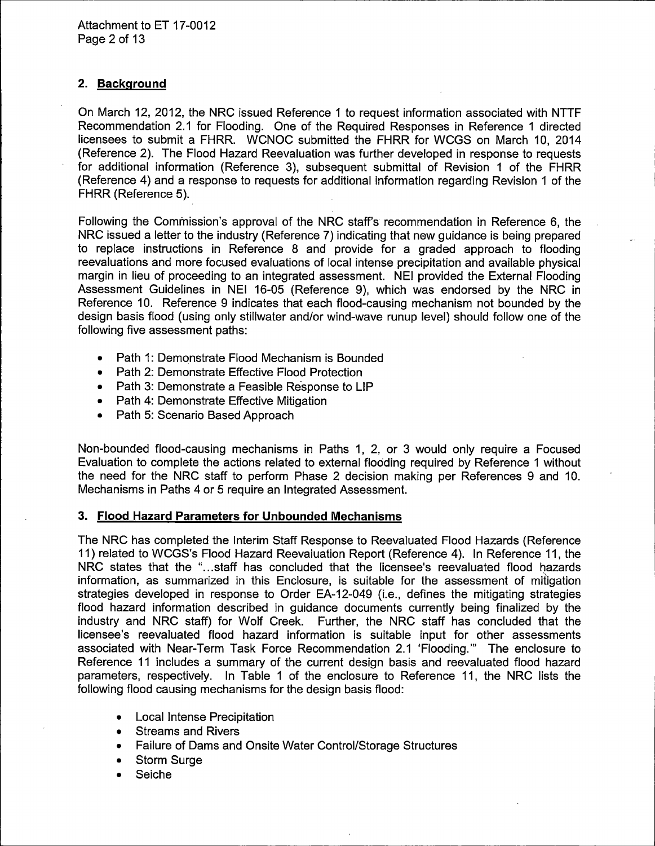## **2. Background**

On March 12, 2012, the NRC issued Reference 1 to request information associated with NTTF Recommendation 2.1 for Flooding. One of the Required Responses in Reference 1 directed licensees to submit a FHRR. WCNOC submitted the FHRR for WCGS on March 10, 2014 (Reference 2). The Flood Hazard Reevaluation was further developed in response to requests for additional information (Reference 3), subsequent submittal of Revision 1 of the FHRR (Reference 4) and a response to requests for additional information regarding Revision 1 of the FHRR (Reference 5).

Following the Commission's approval of the NRC staff's recommendation in Reference 6, the NRC issued a letter to the industry (Reference 7) indicating that new guidance is being prepared to replace instructions in Reference 8 and provide for a graded approach to flooding reevaluations and more focused evaluations of local intense precipitation and available physical margin in lieu of proceeding to an integrated assessment. NEI provided the External Flooding Assessment Guidelines in NEI 16-05 (Reference 9), which was endorsed by the NRC in Reference 10. Reference 9 indicates that each flood-causing mechanism not bounded by the design basis flood (using only stillwater and/or wind-wave runup level) should follow one of the following five assessment paths:

- Path 1: Demonstrate Flood Mechanism is Bounded
- Path 2: Demonstrate Effective Flood Protection
- Path 3: Demonstrate a Feasible Response to LIP
- Path 4: Demonstrate Effective Mitigation
- Path 5: Scenario Based Approach

Non-bounded flood-causing mechanisms in Paths 1, 2, or 3 would only require a Focused Evaluation to complete the actions related to external flooding required by Reference 1 without the need for the NRC staff to perform Phase 2 decision making per References 9 and 10. Mechanisms in Paths 4 or 5 require an Integrated Assessment.

### **3. Flood Hazard Parameters for Unbounded Mechanisms**

The NRC has completed the Interim Staff Response to Reevaluated Flood Hazards (Reference 11) related to WCGS's Flood Hazard Reevaluation Report (Reference 4). In Reference 11, the NRC states that the "...staff has concluded that the licensee's reevaluated flood hazards information, as summarized in this Enclosure, is suitable for the assessment of mitigation strategies developed in response to Order EA-12-049 (i.e., defines the mitigating strategies flood hazard information described in guidance documents currently being finalized by the industry and NRC staff) for Wolf Creek. Further, the NRC staff has concluded that the licensee's reevaluated flood hazard information is suitable input for other assessments associated with Near-Term Task Force Recommendation 2.1 'Flooding."' The enclosure to Reference 11 includes a summary of the current design basis and reevaluated flood hazard parameters, respectively. In Table 1 of the enclosure to Reference 11, the NRC lists the following flood causing mechanisms for the design basis flood:

- Local Intense Precipitation
- Streams and Rivers
- Failure of Dams and Onsite Water Control/Storage Structures
- Storm Surge
- Seiche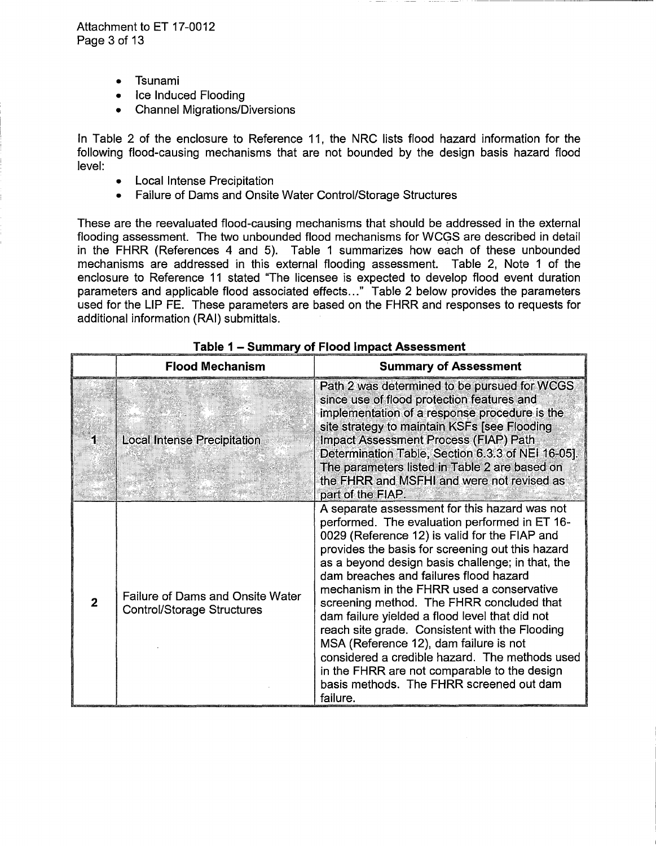- Tsunami  $\bullet$
- Ice Induced Flooding
- Channel Migrations/Diversions

In Table 2 of the enclosure to Reference 11, the NRC lists flood hazard information for the following flood-causing mechanisms that are not bounded by the design basis hazard flood level:

- Local Intense Precipitation
- Failure of Dams and Onsite Water Control/Storage Structures

These are the reevaluated flood-causing mechanisms that should be addressed in the external flooding assessment. The two unbounded flood mechanisms for WCGS are described in detail in the FHRR (References 4 and 5). Table 1 summarizes how each of these unbounded mechanisms are addressed in this external flooding assessment. Table 2, Note 1 of the enclosure to Reference 11 stated "The licensee is expected to develop flood event duration parameters and applicable flood associated effects..." Table 2 below provides the parameters used for the LIP FE. These parameters are based on the FHRR and responses to requests for additional information (RAI) submittals.

|                         | <b>Flood Mechanism</b>                                                       | <b>Summary of Assessment</b>                                                                                                                                                                                                                                                                                                                                                                                                                                                                                                                                                                                                                                                                        |
|-------------------------|------------------------------------------------------------------------------|-----------------------------------------------------------------------------------------------------------------------------------------------------------------------------------------------------------------------------------------------------------------------------------------------------------------------------------------------------------------------------------------------------------------------------------------------------------------------------------------------------------------------------------------------------------------------------------------------------------------------------------------------------------------------------------------------------|
|                         | <b>Local Intense Precipitation</b>                                           | Path 2 was determined to be pursued for WCGS<br>since use of flood protection features and<br>implementation of a response procedure is the<br>site strategy to maintain KSFs [see Flooding<br><b>Impact Assessment Process (FIAP) Path</b><br>Determination Table, Section 6.3.3 of NEI 16-05].<br>The parameters listed in Table 2 are based on<br>the FHRR and MSFHI and were not revised as<br>part of the FIAP.                                                                                                                                                                                                                                                                                |
| $\overline{\mathbf{z}}$ | <b>Failure of Dams and Onsite Water</b><br><b>Control/Storage Structures</b> | A separate assessment for this hazard was not<br>performed. The evaluation performed in ET 16-<br>0029 (Reference 12) is valid for the FIAP and<br>provides the basis for screening out this hazard<br>as a beyond design basis challenge; in that, the<br>dam breaches and failures flood hazard<br>mechanism in the FHRR used a conservative<br>screening method. The FHRR concluded that<br>dam failure yielded a flood level that did not<br>reach site grade. Consistent with the Flooding<br>MSA (Reference 12), dam failure is not<br>considered a credible hazard. The methods used<br>in the FHRR are not comparable to the design<br>basis methods. The FHRR screened out dam<br>failure. |

Table 1 - Summary of Flood Impact Assessment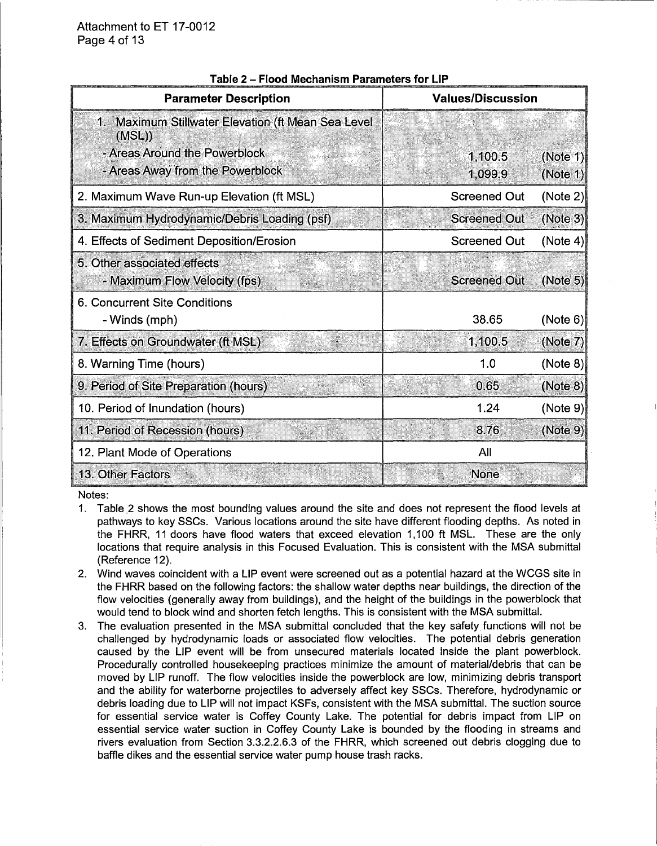| <b>Parameter Description</b>                                 | <b>Values/Discussion</b> |          |
|--------------------------------------------------------------|--------------------------|----------|
| 1. Maximum Stillwater Elevation (ft Mean Sea Level<br>(MSL)  |                          |          |
| - Areas Around the Powerblock                                | 1,100.5                  | (Note 1) |
| - Areas Away from the Powerblock                             | 1,099.9                  | (Note 1) |
| 2. Maximum Wave Run-up Elevation (ft MSL)                    | <b>Screened Out</b>      | (Note 2) |
| 3. Maximum Hydrodynamic/Debris Loading (psf)                 | <b>Screened Out</b>      | (Note 3) |
| 4. Effects of Sediment Deposition/Erosion                    | <b>Screened Out</b>      | (Note 4) |
| 5. Other associated effects<br>- Maximum Flow Velocity (fps) | <b>Screened Out</b>      | (Note 5) |
| 6. Concurrent Site Conditions                                |                          |          |
| - Winds (mph)                                                | 38.65                    | (Note 6) |
| 7. Effects on Groundwater (ft MSL)                           | 1,100.5                  | (Note 7) |
| 8. Warning Time (hours)                                      | 1.0                      | (Note 8) |
| 9. Period of Site Preparation (hours)                        | 0.65                     | (Note 8) |
| 10. Period of Inundation (hours)                             | 1.24                     | (Note 9) |
| 11. Period of Recession (hours)                              | 8.76                     | (Note 9) |
| 12. Plant Mode of Operations                                 | All                      |          |
| 13. Other Factors                                            | None                     |          |

#### **Table 2 - Flood Mechanism Parameters for LIP**

Notes:

- 1. Table 2 shows the most bounding values around the site and does not represent the flood levels at pathways to key SSCs. Various locations around the site have different flooding depths. As noted in the FHRR, 11 doors have flood waters that exceed elevation 1, 100 ft MSL. These are the only locations that require analysis in this Focused Evaluation. This is consistent with the MSA submittal (Reference 12).
- 2. Wind waves coincident with a LIP event were screened out as a potential hazard at the WCGS site in the FHRR based on the following factors: the shallow water depths near buildings, the direction of the flow velocities (generally away from buildings), and the height of the buildings in the powerblock that would tend to block wind and shorten fetch lengths. This is consistent with the MSA submittal.
- 3. The evaluation presented in the MSA submittal concluded that the key safety functions will not be challenged by hydrodynamic loads or associated flow velocities. The potential debris generation caused by the LIP event will be from unsecured materials located inside the plant powerblock. Procedurally controlled housekeeping practices minimize the amount of material/debris that can be moved by LIP runoff. The flow velocities inside the powerblock are low, minimizing debris transport and the ability for waterborne projectiles to adversely affect key SSCs. Therefore, hydrodynamic or debris loading due to LIP will not impact KSFs, consistent with the MSA submittal. The suction source for essential service water is Coffey County Lake. The potential for debris impact from LIP on essential service water suction in Coffey County Lake is bounded by the flooding in streams and rivers evaluation from Section 3.3.2.2.6.3 of the FHRR, which screened out debris clogging due to baffle dikes and the essential service water pump house trash racks.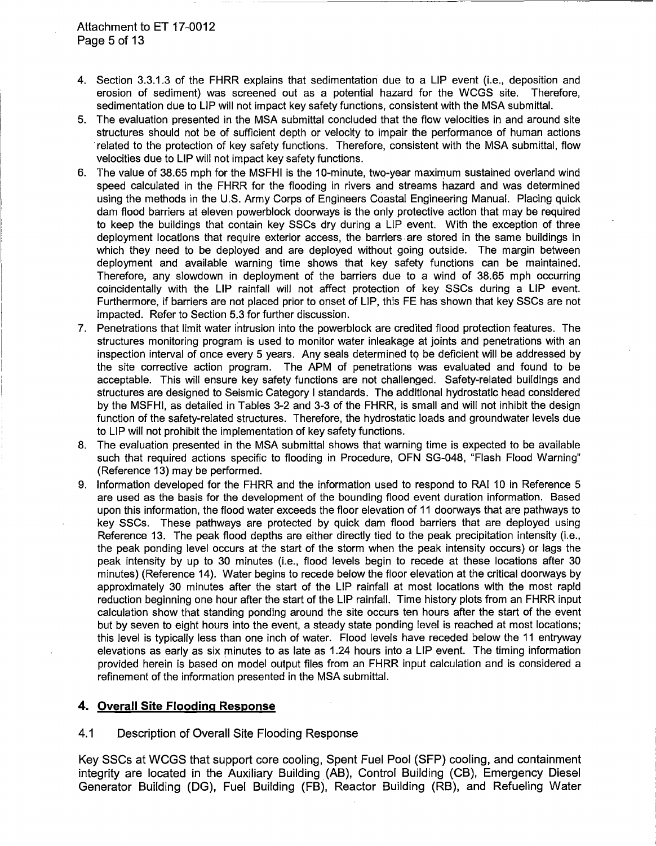- 4. Section 3.3.1.3 of the FHRR explains that sedimentation due to a LIP event (i.e., deposition and erosion of sediment) was screened out as a potential hazard for the WCGS site. Therefore, sedimentation due to LIP will not impact key safety functions, consistent with the MSA submittal.
- 5. The evaluation presented in the MSA submittal concluded that the flow velocities in and around site structures should not be of sufficient depth or velocity to impair the performance of human actions related to the protection of key safety functions. Therefore, consistent with the MSA submittal, flow velocities due to LIP will not impact key safety functions.
- 6. The value of 38.65 mph for the MSFHI is the 10-minute, two-year maximum sustained overland wind speed calculated in the FHRR for the flooding in rivers and streams hazard and was determined using the methods in the U.S. Army Corps of Engineers Coastal Engineering Manual. Placing quick dam flood barriers at eleven powerblock doorways is the only protective action that may be required to keep the buildings that contain key SSCs dry during a LIP event. With the exception of three deployment locations that require exterior access, the barriers are stored in the same buildings in which they need to be deployed and are deployed without going outside. The margin between deployment and available warning time shows that key safety functions can be maintained. Therefore, any slowdown in deployment of the barriers due to a wind of 38.65 mph occurring coincidentally with the LIP rainfall will not affect protection of key SSCs during a LIP event. Furthermore, if barriers are not placed prior to onset of LIP, this FE has shown that key SSCs are not impacted. Refer to Section 5.3 for further discussion.
- 7. Penetrations that limit water intrusion into the powerblock are credited flood protection features. The structures monitoring program is used to monitor water inleakage at joints and penetrations with an inspection interval of once every 5 years. Any seals determined to be deficient will be addressed by the site corrective action program. The APM of penetrations was evaluated and found to be acceptable. This will ensure key safety functions are not challenged. Safety-related buildings and structures are designed to Seismic Category I standards. The additional hydrostatic head considered by the MSFHI, as detailed in Tables 3-2 and 3-3 of the FHRR, is small and will not inhibit the design function of the safety-related structures. Therefore, the hydrostatic loads and groundwater levels due to LIP will not prohibit the implementation of key safety functions.
- 8. The evaluation presented in the MSA submittal shows that warning time is expected to be available such that required actions specific to flooding in Procedure, OFN SG-048, "Flash Flood Warning" (Reference 13) may be performed.
- 9. Information developed for the FHRR and the information used to respond to RAI 10 in Reference 5 are used as the basis for the development of the bounding flood event duration information. Based upon this information, the flood water exceeds the floor elevation of 11 doorways that are pathways to key SSCs. These pathways are protected by quick dam flood barriers that are deployed using Reference 13. The peak flood depths are either directly tied to the peak precipitation intensity (i.e., the peak ponding level occurs at the start of the storm when the peak intensity occurs) or lags the peak intensity by up to 30 minutes (i.e., flood levels begin to recede at these locations after 30 minutes) (Reference 14). Water begins to recede below the floor elevation at the critical doorways by approximately 30 minutes after the start of the LIP rainfall at most locations with the most rapid reduction beginning one hour after the start of the LIP rainfall. Time history plots from an FHRR input calculation show that standing ponding around the site occurs ten hours after the start of the event but by seven to eight hours into the event, a steady state ponding level is reached at most locations; this level is typically less than one inch of water. Flood levels have receded below the 11 entryway elevations as early as six minutes to as late as 1.24 hours into a LIP event. The timing information provided herein is based on model output files from an FHRR input calculation and is considered a refinement of the information presented in the MSA submittal.

### **4. Overall Site Flooding Response**

4.1 Description of Overall Site Flooding Response

Key SSCs at WCGS that support core cooling, Spent Fuel Pool (SFP) cooling, and containment integrity are located in the Auxiliary Building (AB), Control Building (CB), Emergency Diesel Generator Building (DG), Fuel Building (FB), Reactor Building (RB), and Refueling Water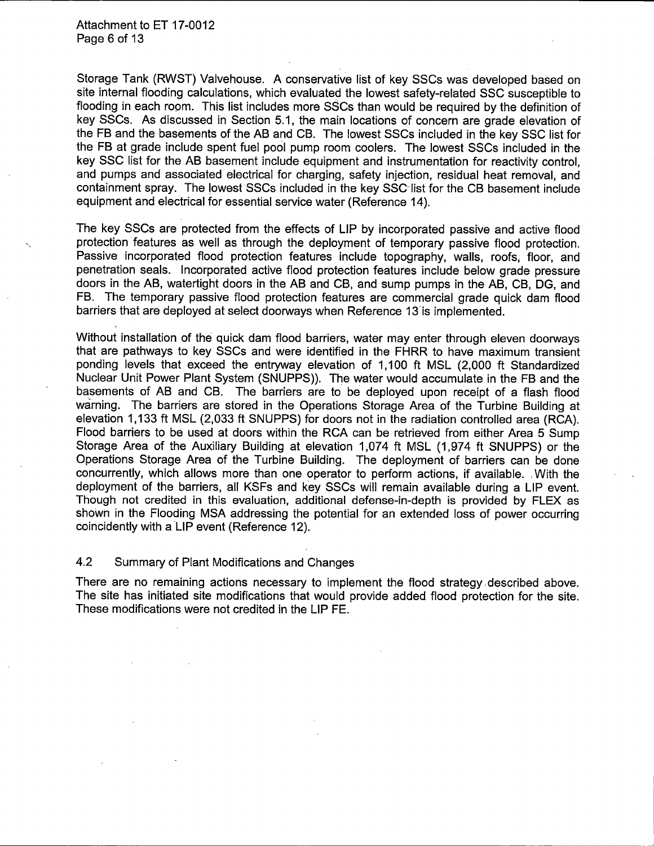Attachment to ET 17-0012 Page 6 of 13

Storage Tank (RWST) Valvehouse. A conservative list of key SSCs was developed based on site internal flooding calculations, which evaluated the lowest safety-related SSC susceptible to flooding in each room. This list includes more SSCs than would be required by the definition of key SSCs. As discussed in Section 5.1, the main locations of concern are grade elevation of the FB and the basements of the AB and CB. The lowest SSCs included in the key SSC list for the FB at grade include spent fuel pool pump room coolers. The lowest SSCs included in the key SSC list for the AB basement include equipment and instrumentation for reactivity control, and pumps and associated electrical for charging, safety injection, residual heat removal, and containment spray. The lowest SSCs included in the key SSC- list for the CB basement include equipment and electrical for essential service water (Reference 14).

The key SSCs are protected from the effects of LIP by incorporated passive and active flood protection features as well as through the deployment of temporary passive flood protection. Passive incorporated flood protection features include topography, walls, roofs, floor, and penetration seals. Incorporated active flood protection features include below grade pressure doors in the AB, watertight doors in the AB and CB, and sump pumps in the AB, CB, DG, and FB. The temporary passive flood protection features are commercial grade quick dam flood barriers that are deployed at select doorways when Reference 13'is implemented.

Without installation of the quick dam flood barriers, water may enter through eleven doorways that are pathways to key SSCs and were identified in the FHRR to have maximum transient ponding levels that exceed the entryway elevation of 1, 100 ft MSL (2,000 ft Standardized Nuclear Unit Power Plant System (SNUPPS)). The water would accumulate in the FB and the basements of AB and CB. The barriers are to be deployed upon receipt of a flash flood warning. The barriers are stored in the Operations Storage Area of the Turbine Building at elevation 1, 133 ft MSL (2,033 ft SNUPPS) for doors not in the radiation controlled area (RCA). Flood barriers to be used at doors within the RCA can be retrieved from either Area 5 Sump Storage Area of the Auxiliary Building at elevation 1,074 ft MSL (1,974 ft SNUPPS) or the Operations Storage Area of the Turbine Building. The deployment of barriers can be done concurrently, which allows more than one operator to perform actions, if available. , With the deployment of the barriers, all KSFs and key SSCs will remain available during a LIP event. Though not credited in this evaluation, additional defense-in-depth is provided by FLEX as shown in the Flooding MSA addressing the potential for an extended loss of power occurring coincidently with a LIP event (Reference 12).

4.2 Summary of Plant Modifications and Changes

There are no remaining actions necessary to implement the flood strategy ,described above. The site has initiated site modifications that would provide added flood protection for the site. These modifications were not credited in the LIP FE.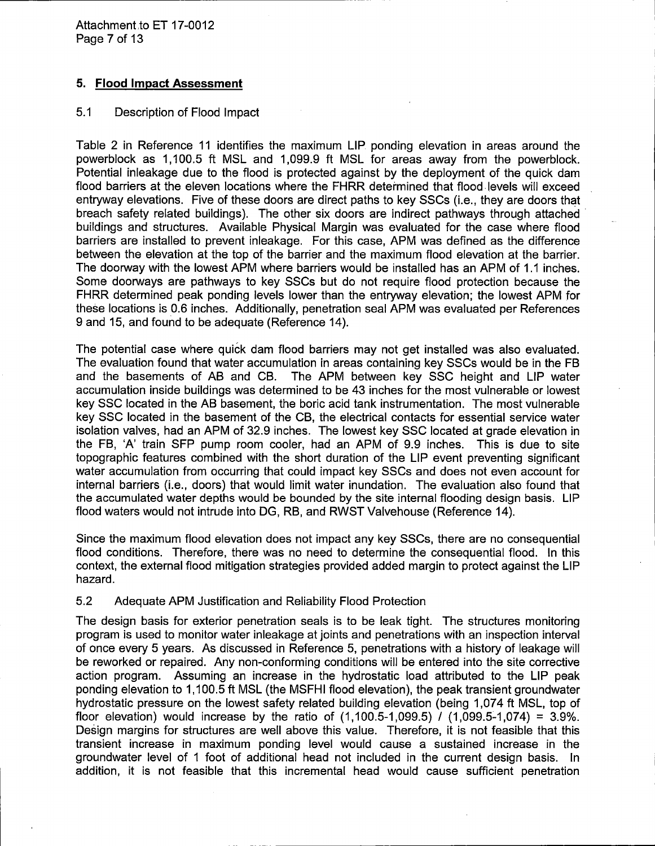Attachment to ET 17-0012 Page 7 of 13

## 5. Flood Impact Assessment

### 5.1 Description of Flood Impact

Table 2 in Reference 11 identifies the maximum LIP ponding elevation in areas around the powerblock as 1, 100.5 ft MSL and 1,099.9 ft MSL for areas away from the powerblock. Potential inleakage due to the flood is protected against by the deployment of the quick dam flood barriers at the eleven locations where the FHRR determined that flood. levels will exceed entryway elevations. Five of these doors are direct paths to key SSCs (i.e., they are doors that breach safety related buildings). The other six doors are indirect pathways through attached · buildings and structures. Available Physical Margin was evaluated for the case where flood barriers are installed to prevent inleakage. For this case, APM was defined as the difference between the elevation at the top of the barrier and the maximum flood elevation at the barrier. The doorway with the lowest APM where barriers would be installed has an APM of 1.1 inches. Some doorways are pathways to key SSCs but do not require flood protection because the FHRR determined peak ponding levels lower than the entryway elevation; the lowest APM for these locations is 0.6 inches. Additionally, penetration seal APM was evaluated per References 9 and 15, and found to be adequate (Reference 14).

The potential case where quick dam flood barriers may not get installed was also evaluated. The evaluation found that water accumulation in areas containing key SSCs would be in the FB and the basements of AB and CB. The APM between key SSC height and LIP water accumulation inside buildings was determined to be 43 inches for the most vulnerable or lowest key SSC located in the AB basement, the boric acid tank instrumentation. The most vulnerable key SSC located in the basement of the CB, the electrical contacts for essential service water isolation valves, had an APM of 32.9 inches. The lowest key SSC located at grade elevation in the FB, 'A' train SFP pump room cooler, had an APM of 9.9 inches. This is due to site topographic features combined with the short duration of the LIP event preventing significant water accumulation from occurring that could impact key SSCs and does not even account for internal barriers (i.e., doors) that would limit water inundation. The evaluation also found that the accumulated water depths would be bounded by the site internal flooding design basis. LIP flood waters would not intrude into DG, RB, and RWST Valvehouse (Reference 14).

Since the maximum flood elevation does not impact any key SSCs, there are no consequential flood conditions. Therefore, there was no need to determine the consequential flood. In this context, the external flood mitigation strategies provided added margin to protect against the LIP hazard.

### 5.2 Adequate APM Justification and Reliability Flood Protection

The design basis for exterior penetration seals is to be leak tight. The structures monitoring program is used to monitor water inleakage at joints and penetrations with an inspection interval of once every 5 years. As discussed in Reference 5, penetrations with a history of leakage will be reworked or repaired. Any non-conforming conditions will be entered into the site corrective action program. Assuming an increase in the hydrostatic load attributed to the LIP peak ponding elevation to 1, 100.5 ft MSL (the MSFHI flood elevation), the peak transient groundwater hydrostatic pressure on the lowest safety related building elevation (being 1,074 ft MSL, top of floor elevation) would increase by the ratio of  $(1,100.5-1,099.5)$   $(1,099.5-1,074) = 3.9\%$ . Design margins for structures are well above this value. Therefore, it is not feasible that this transient increase in maximum ponding level would cause a sustained increase in the groundwater level of 1 foot of additional head not included in the current design basis. In addition, it is not feasible that this incremental head would cause sufficient penetration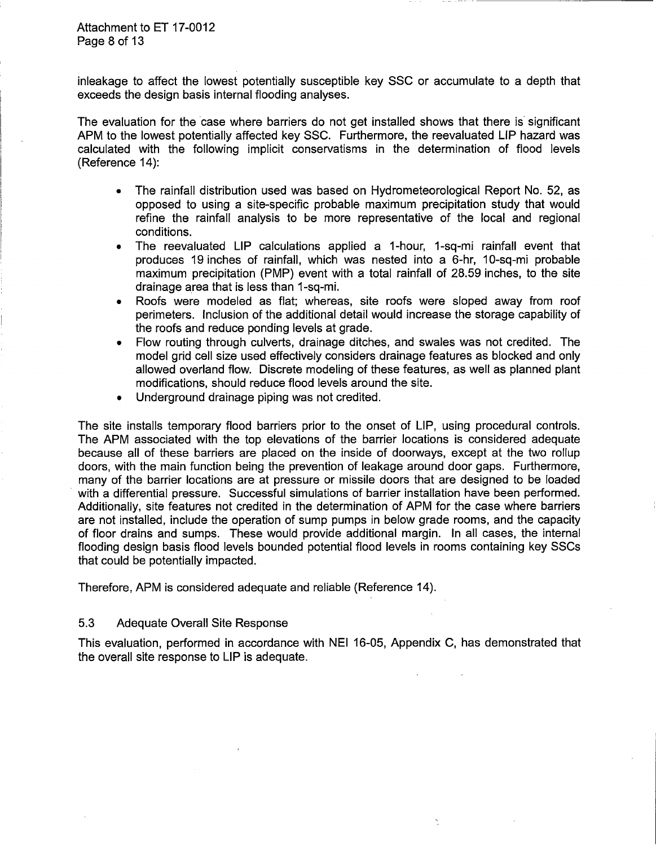inleakage to affect the lowest potentially susceptible key SSC or accumulate to a depth that exceeds the design basis internal flooding analyses.

The evaluation for the case where barriers do not get installed shows that there is significant APM to the lowest potentially affected key SSC. Furthermore, the reevaluated LIP hazard was calculated with the following implicit conservatisms in the determination of flood levels (Reference 14):

- The rainfall distribution used was based on Hydrometeorological Report No. 52, as opposed to using a site-specific probable maximum precipitation study that would refine the rainfall analysis to be more representative of the local and regional conditions.
- The reevaluated LIP calculations applied a 1-hour, 1-sq-mi rainfall event that produces 19 inches of rainfall, which was nested into a 6-hr, 10-sq-mi probable maximum precipitation (PMP) event with a total rainfall of 28.59 inches, to the site drainage area that is less than 1-sq-mi.
- Roofs were modeled as flat; whereas, site roofs were sloped away from roof perimeters. Inclusion of the additional detail would increase the storage capability of the roofs and reduce ponding levels at grade.
- Flow routing through culverts, drainage ditches, and swales was not credited. The model grid cell size used effectively considers drainage features as blocked and only allowed overland flow. Discrete modeling of these features, as well as planned plant modifications, should reduce flood levels around the site.
- Underground drainage piping was not credited.

The site installs temporary flood barriers prior to the onset of LIP, using procedural controls. The APM associated with the top elevations of the barrier locations is considered adequate because all of these barriers are placed on the inside of doorways, except at the two rollup doors, with the main function being the prevention of leakage around door gaps. Furthermore, many of the barrier locations are at pressure or missile doors that are designed to be loaded with a differential pressure. Successful simulations of barrier installation have been performed. Additionally, site features not credited in the determination of APM for the case where barriers are not installed, include the operation of sump pumps in below grade rooms, and the capacity of floor drains and sumps. These would provide additional margin. In all cases, the internal flooding design basis flood levels bounded potential flood levels in rooms containing key SSCs that could be potentially impacted.

Therefore, APM is considered adequate and reliable (Reference 14).

# 5.3 Adequate Overall Site Response

This evaluation, performed in accordance with NEI 16-05, Appendix C, has demonstrated that the overall site response to LIP is adequate.

Ņ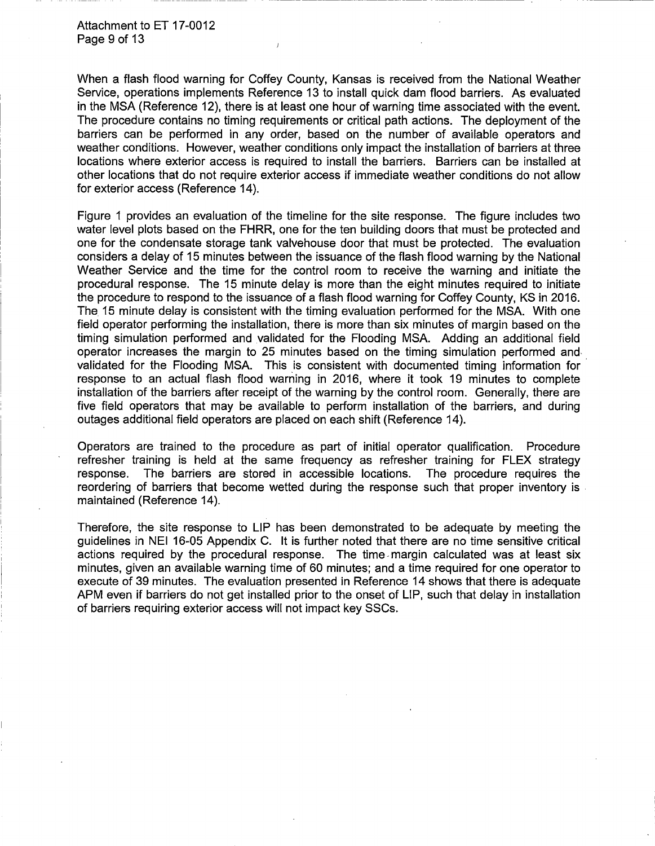Attachment to ET 17-0012 Page 9 of 13

When a flash flood warning for Coffey County, Kansas is received from the National Weather Service, operations implements Reference 13 to install quick dam flood barriers. As evaluated in the MSA (Reference 12), there is at least one hour of warning time associated with the event. The procedure contains no timing requirements or critical path actions. The deployment of the barriers can be performed in any order, based on the number of available operators and weather conditions. However, weather conditions only impact the installation of barriers at three locations where exterior access is required to install the barriers. Barriers can be installed at other locations that do not require exterior access if immediate weather conditions do not allow for exterior access (Reference 14).

Figure 1 provides an evaluation of the timeline for the site response. The figure includes two water level plots based on the FHRR, one for the ten building doors that must be protected and one for the condensate storage tank valvehouse door that must be protected. The evaluation considers a delay of 15 minutes between the issuance of the flash flood warning by the National Weather Service and the time for the control room to receive the warning and initiate the procedural response. The 15 minute delay is more than the eight minutes required to initiate the procedure to respond to the issuance of a flash flood warning for Coffey County, KS in 2016. The 15 minute delay is consistent with the timing evaluation performed for the MSA. With one field operator performing the installation, there is more than six minutes of margin based on the timing simulation performed and validated for the Flooding MSA. Adding an additional field operator increases the margin to 25 minutes based on the timing simulation performed and. validated for the Flooding MSA. This is consistent with documented timing information for response to an actual flash flood warning in 2016, where it took 19 minutes to complete installation of the barriers after receipt of the warning by the control room. Generally, there are five field operators that may be available to perform installation of the barriers, and during outages additional field operators are placed on each shift (Reference 14).

Operators are trained to the procedure as part of initial operator qualification. Procedure refresher training is held at the same frequency as refresher training for FLEX strategy response. The barriers are stored in accessible locations. The procedure requires the reordering of barriers that become wetted during the response such that proper inventory is . maintained (Reference 14).

Therefore, the site response to LIP has been demonstrated to be adequate by meeting the guidelines in NEI 16-05 Appendix C. It is further noted that there are no time sensitive critical actions required by the procedural response. The time margin calculated was at least six minutes, given an available warning time of 60 minutes; and a time required for one operator to execute of 39 minutes. The evaluation presented in Reference 14 shows that there is adequate APM even if barriers do not get installed prior to the onset of LIP, such that delay in installation of barriers requiring exterior access will not impact key SSCs.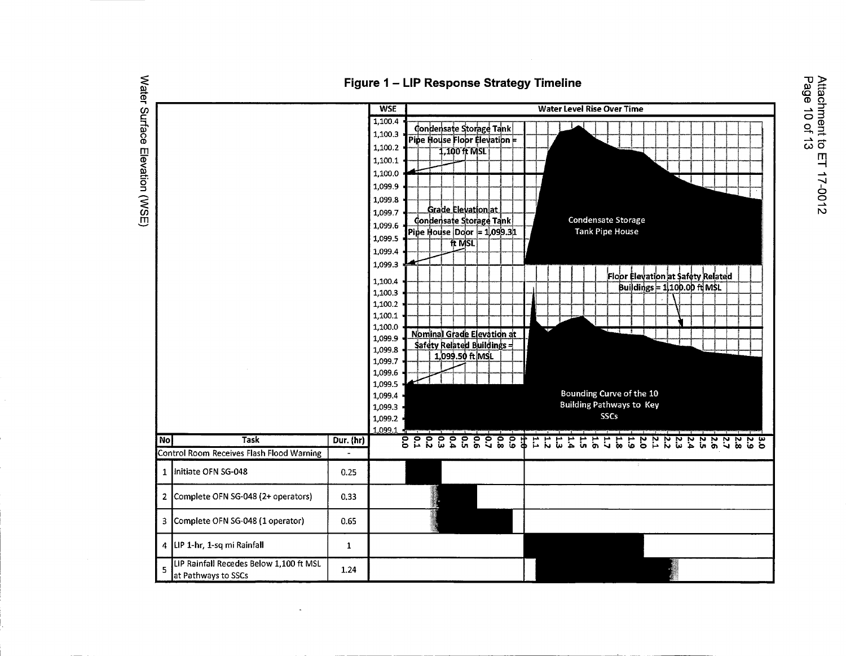

### Figure 1 - LIP Response Strategy Timeline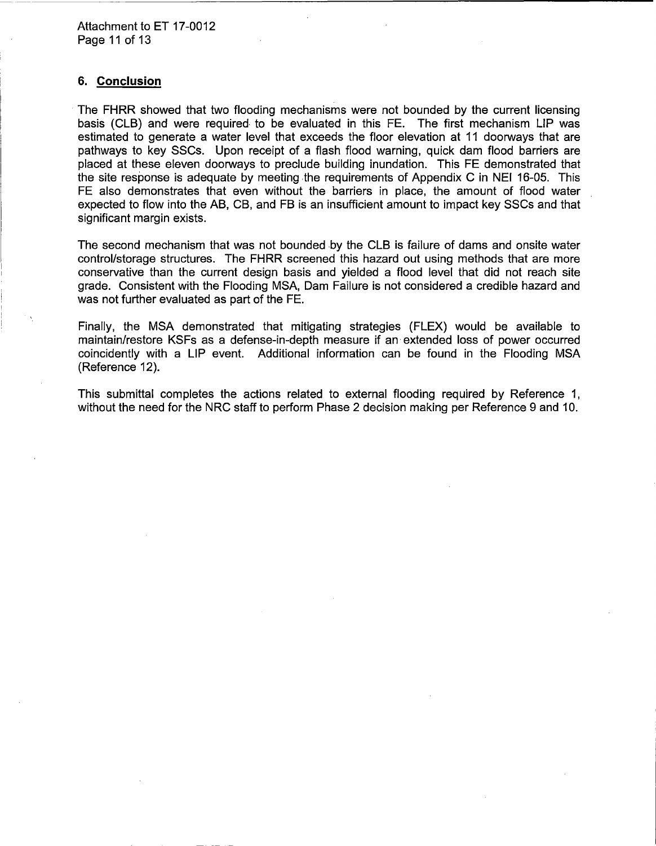#### **6. Conclusion**

The FHRR showed that two flooding mechanisms were not bounded by the current licensing basis (CLB) and were required· to be evaluated in this FE. The first mechanism LIP was estimated to generate a water level that exceeds the floor elevation at 11 doorways that are pathways to key SSCs. Upon receipt of a flash flood warning, quick dam flood barriers are placed at these eleven doorways to preclude building inundation. This FE demonstrated that the site response is adequate by meeting the requirements of Appendix C in NEI 16-05. This FE also demonstrates that even without the barriers in place, the amount of flood water expected to flow into the AB, CB, and FB is an insufficient amount to impact key SSCs and that significant margin exists.

The second mechanism that was not bounded by the CLB is failure of dams and onsite water control/storage structures. The FHRR screened this hazard out using methods that are more conservative than the current design basis and yielded a flood level that did not reach site grade. Consistent with the Flooding MSA, Dam Failure is not considered a credible hazard and was not further evaluated as part of the FE.

Finally, the MSA demonstrated that mitigating strategies (FLEX) would be available to maintain/restore KSFs as a defense-in-depth measure if an extended loss of power occurred coincidently with a LIP event. Additional information can be found in the Flooding MSA (Reference 12).

This submittal completes the actions related to external flooding required by Reference 1, without the need for the NRC staff to perform Phase 2 decision making per Reference 9 and 10.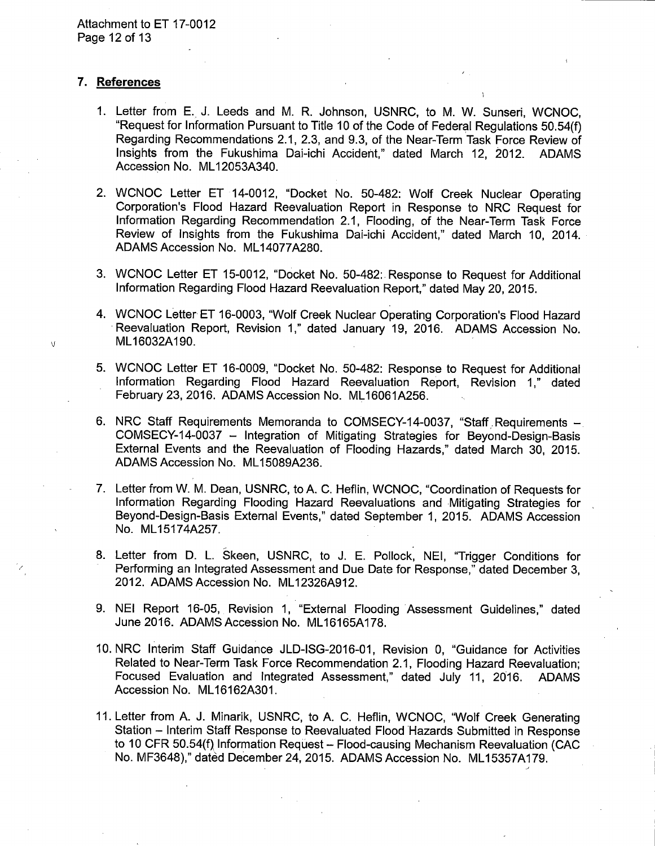### 7. References

- 1. Letter from E. J. Leeds and M. R. Johnson, USNRC, to M. W. Sunseri, WCNOC, "Request for Information Pursuant to Title 10 of the Code of Federal Requiations 50.54(f) Regarding Recommendations 2.1, 2.3, and 9.3, of the Near-Term Task Force Review of Insights from the Fukushima Dai-ichi Accident," dated March 12, 2012. **ADAMS** Accession No. ML12053A340.
- 2. WCNOC Letter ET 14-0012, "Docket No. 50-482: Wolf Creek Nuclear Operating Corporation's Flood Hazard Reevaluation Report in Response to NRC Request for Information Regarding Recommendation 2.1, Flooding, of the Near-Term Task Force Review of Insights from the Fukushima Dai-ichi Accident," dated March 10, 2014. ADAMS Accession No. ML14077A280.
- 3. WCNOC Letter ET 15-0012, "Docket No. 50-482: Response to Request for Additional Information Regarding Flood Hazard Reevaluation Report," dated May 20, 2015.
- 4. WCNOC Letter ET 16-0003, "Wolf Creek Nuclear Operating Corporation's Flood Hazard Reevaluation Report, Revision 1," dated January 19, 2016. ADAMS Accession No. ML16032A190.
- 5. WCNOC Letter ET 16-0009, "Docket No. 50-482: Response to Request for Additional Information Regarding Flood Hazard Reevaluation Report, Revision 1," dated February 23, 2016. ADAMS Accession No. ML16061A256.
- 6. NRC Staff Requirements Memoranda to COMSECY-14-0037, "Staff Requirements COMSECY-14-0037 - Integration of Mitigating Strategies for Beyond-Design-Basis External Events and the Reevaluation of Flooding Hazards," dated March 30, 2015. ADAMS Accession No. ML15089A236.
- 7. Letter from W. M. Dean, USNRC, to A. C. Heflin, WCNOC. "Coordination of Requests for Information Regarding Flooding Hazard Reevaluations and Mitigating Strategies for Beyond-Design-Basis External Events," dated September 1, 2015. ADAMS Accession No. ML15174A257.
- 8. Letter from D. L. Skeen, USNRC, to J. E. Pollock, NEI, "Trigger Conditions for Performing an Integrated Assessment and Due Date for Response," dated December 3, 2012. ADAMS Accession No. ML12326A912.
- 9. NEI Report 16-05, Revision 1, "External Flooding Assessment Guidelines," dated June 2016. ADAMS Accession No. ML16165A178.
- 10. NRC Interim Staff Guidance JLD-ISG-2016-01, Revision 0, "Guidance for Activities Related to Near-Term Task Force Recommendation 2.1, Flooding Hazard Reevaluation; Focused Evaluation and Integrated Assessment," dated July 11, 2016. **ADAMS** Accession No. ML16162A301.
- 11. Letter from A. J. Minarik, USNRC, to A. C. Heflin, WCNOC, "Wolf Creek Generating Station – Interim Staff Response to Reevaluated Flood Hazards Submitted in Response to 10 CFR 50.54(f) Information Request - Flood-causing Mechanism Reevaluation (CAC No. MF3648)," dated December 24, 2015. ADAMS Accession No. ML15357A179.